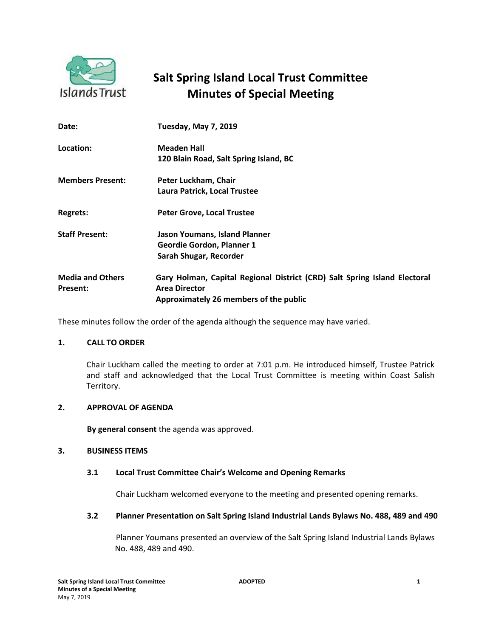

# **Salt Spring Island Local Trust Committee Minutes of Special Meeting**

| Date:                               | <b>Tuesday, May 7, 2019</b>                                               |
|-------------------------------------|---------------------------------------------------------------------------|
| Location:                           | Meaden Hall                                                               |
|                                     | 120 Blain Road, Salt Spring Island, BC                                    |
| <b>Members Present:</b>             | Peter Luckham, Chair                                                      |
|                                     | Laura Patrick, Local Trustee                                              |
| <b>Regrets:</b>                     | <b>Peter Grove, Local Trustee</b>                                         |
| <b>Staff Present:</b>               | Jason Youmans, Island Planner                                             |
|                                     | <b>Geordie Gordon, Planner 1</b>                                          |
|                                     | Sarah Shugar, Recorder                                                    |
| <b>Media and Others</b><br>Present: | Gary Holman, Capital Regional District (CRD) Salt Spring Island Electoral |
|                                     | <b>Area Director</b>                                                      |
|                                     | Approximately 26 members of the public                                    |
|                                     |                                                                           |

These minutes follow the order of the agenda although the sequence may have varied.

## **1. CALL TO ORDER**

Chair Luckham called the meeting to order at 7:01 p.m. He introduced himself, Trustee Patrick and staff and acknowledged that the Local Trust Committee is meeting within Coast Salish Territory.

#### **2. APPROVAL OF AGENDA**

**By general consent** the agenda was approved.

#### **3. BUSINESS ITEMS**

#### **3.1 Local Trust Committee Chair's Welcome and Opening Remarks**

Chair Luckham welcomed everyone to the meeting and presented opening remarks.

#### **3.2 Planner Presentation on Salt Spring Island Industrial Lands Bylaws No. 488, 489 and 490**

Planner Youmans presented an overview of the Salt Spring Island Industrial Lands Bylaws No. 488, 489 and 490.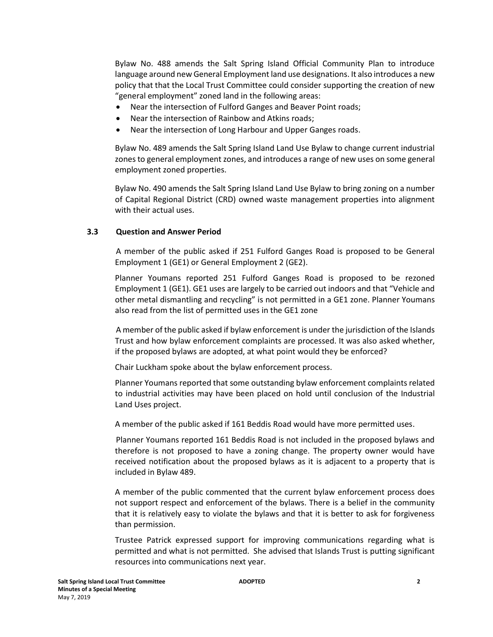Bylaw No. 488 amends the Salt Spring Island Official Community Plan to introduce language around new General Employment land use designations. It also introduces a new policy that that the Local Trust Committee could consider supporting the creation of new "general employment" zoned land in the following areas:

- Near the intersection of Fulford Ganges and Beaver Point roads;
- Near the intersection of Rainbow and Atkins roads;
- Near the intersection of Long Harbour and Upper Ganges roads.

Bylaw No. 489 amends the Salt Spring Island Land Use Bylaw to change current industrial zones to general employment zones, and introduces a range of new uses on some general employment zoned properties.

Bylaw No. 490 amends the Salt Spring Island Land Use Bylaw to bring zoning on a number of Capital Regional District (CRD) owned waste management properties into alignment with their actual uses.

## **3.3 Question and Answer Period**

A member of the public asked if 251 Fulford Ganges Road is proposed to be General Employment 1 (GE1) or General Employment 2 (GE2).

Planner Youmans reported 251 Fulford Ganges Road is proposed to be rezoned Employment 1 (GE1). GE1 uses are largely to be carried out indoors and that "Vehicle and other metal dismantling and recycling" is not permitted in a GE1 zone. Planner Youmans also read from the list of permitted uses in the GE1 zone

A member of the public asked if bylaw enforcement is under the jurisdiction of the Islands Trust and how bylaw enforcement complaints are processed. It was also asked whether, if the proposed bylaws are adopted, at what point would they be enforced?

Chair Luckham spoke about the bylaw enforcement process.

Planner Youmans reported that some outstanding bylaw enforcement complaints related to industrial activities may have been placed on hold until conclusion of the Industrial Land Uses project.

A member of the public asked if 161 Beddis Road would have more permitted uses.

Planner Youmans reported 161 Beddis Road is not included in the proposed bylaws and therefore is not proposed to have a zoning change. The property owner would have received notification about the proposed bylaws as it is adjacent to a property that is included in Bylaw 489.

A member of the public commented that the current bylaw enforcement process does not support respect and enforcement of the bylaws. There is a belief in the community that it is relatively easy to violate the bylaws and that it is better to ask for forgiveness than permission.

Trustee Patrick expressed support for improving communications regarding what is permitted and what is not permitted. She advised that Islands Trust is putting significant resources into communications next year.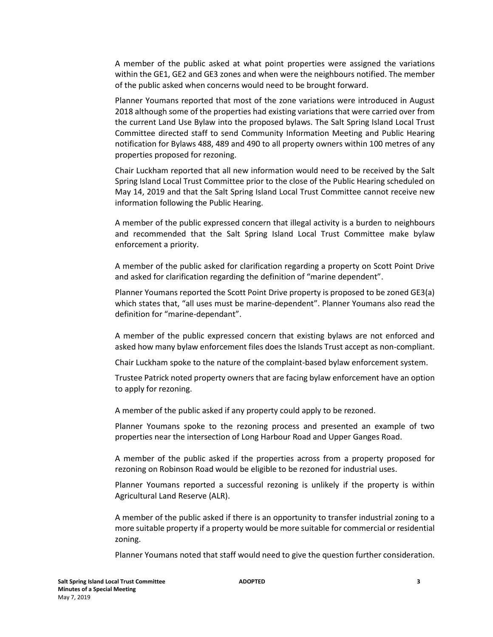A member of the public asked at what point properties were assigned the variations within the GE1, GE2 and GE3 zones and when were the neighbours notified. The member of the public asked when concerns would need to be brought forward.

Planner Youmans reported that most of the zone variations were introduced in August 2018 although some of the properties had existing variations that were carried over from the current Land Use Bylaw into the proposed bylaws. The Salt Spring Island Local Trust Committee directed staff to send Community Information Meeting and Public Hearing notification for Bylaws 488, 489 and 490 to all property owners within 100 metres of any properties proposed for rezoning.

Chair Luckham reported that all new information would need to be received by the Salt Spring Island Local Trust Committee prior to the close of the Public Hearing scheduled on May 14, 2019 and that the Salt Spring Island Local Trust Committee cannot receive new information following the Public Hearing.

A member of the public expressed concern that illegal activity is a burden to neighbours and recommended that the Salt Spring Island Local Trust Committee make bylaw enforcement a priority.

A member of the public asked for clarification regarding a property on Scott Point Drive and asked for clarification regarding the definition of "marine dependent".

Planner Youmans reported the Scott Point Drive property is proposed to be zoned GE3(a) which states that, "all uses must be marine-dependent". Planner Youmans also read the definition for "marine-dependant".

A member of the public expressed concern that existing bylaws are not enforced and asked how many bylaw enforcement files does the Islands Trust accept as non-compliant.

Chair Luckham spoke to the nature of the complaint-based bylaw enforcement system.

Trustee Patrick noted property owners that are facing bylaw enforcement have an option to apply for rezoning.

A member of the public asked if any property could apply to be rezoned.

Planner Youmans spoke to the rezoning process and presented an example of two properties near the intersection of Long Harbour Road and Upper Ganges Road.

A member of the public asked if the properties across from a property proposed for rezoning on Robinson Road would be eligible to be rezoned for industrial uses.

Planner Youmans reported a successful rezoning is unlikely if the property is within Agricultural Land Reserve (ALR).

A member of the public asked if there is an opportunity to transfer industrial zoning to a more suitable property if a property would be more suitable for commercial or residential zoning.

Planner Youmans noted that staff would need to give the question further consideration.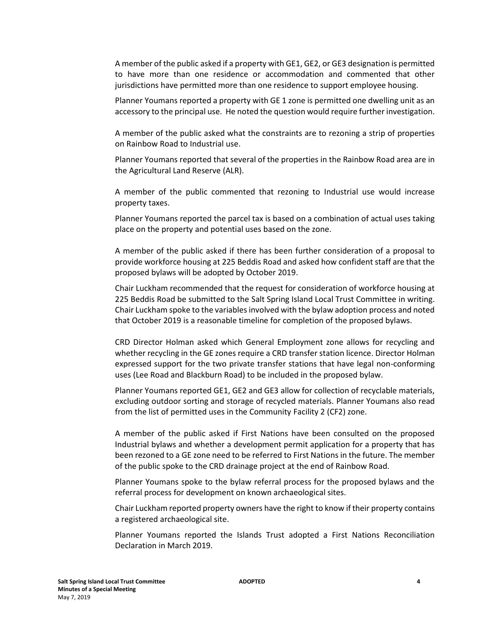A member of the public asked if a property with GE1, GE2, or GE3 designation is permitted to have more than one residence or accommodation and commented that other jurisdictions have permitted more than one residence to support employee housing.

Planner Youmans reported a property with GE 1 zone is permitted one dwelling unit as an accessory to the principal use. He noted the question would require further investigation.

A member of the public asked what the constraints are to rezoning a strip of properties on Rainbow Road to Industrial use.

Planner Youmans reported that several of the properties in the Rainbow Road area are in the Agricultural Land Reserve (ALR).

A member of the public commented that rezoning to Industrial use would increase property taxes.

Planner Youmans reported the parcel tax is based on a combination of actual uses taking place on the property and potential uses based on the zone.

A member of the public asked if there has been further consideration of a proposal to provide workforce housing at 225 Beddis Road and asked how confident staff are that the proposed bylaws will be adopted by October 2019.

Chair Luckham recommended that the request for consideration of workforce housing at 225 Beddis Road be submitted to the Salt Spring Island Local Trust Committee in writing. Chair Luckham spoke to the variables involved with the bylaw adoption process and noted that October 2019 is a reasonable timeline for completion of the proposed bylaws.

CRD Director Holman asked which General Employment zone allows for recycling and whether recycling in the GE zones require a CRD transfer station licence. Director Holman expressed support for the two private transfer stations that have legal non-conforming uses (Lee Road and Blackburn Road) to be included in the proposed bylaw.

Planner Youmans reported GE1, GE2 and GE3 allow for collection of recyclable materials, excluding outdoor sorting and storage of recycled materials. Planner Youmans also read from the list of permitted uses in the Community Facility 2 (CF2) zone.

A member of the public asked if First Nations have been consulted on the proposed Industrial bylaws and whether a development permit application for a property that has been rezoned to a GE zone need to be referred to First Nations in the future. The member of the public spoke to the CRD drainage project at the end of Rainbow Road.

Planner Youmans spoke to the bylaw referral process for the proposed bylaws and the referral process for development on known archaeological sites.

Chair Luckham reported property owners have the right to know if their property contains a registered archaeological site.

Planner Youmans reported the Islands Trust adopted a First Nations Reconciliation Declaration in March 2019.